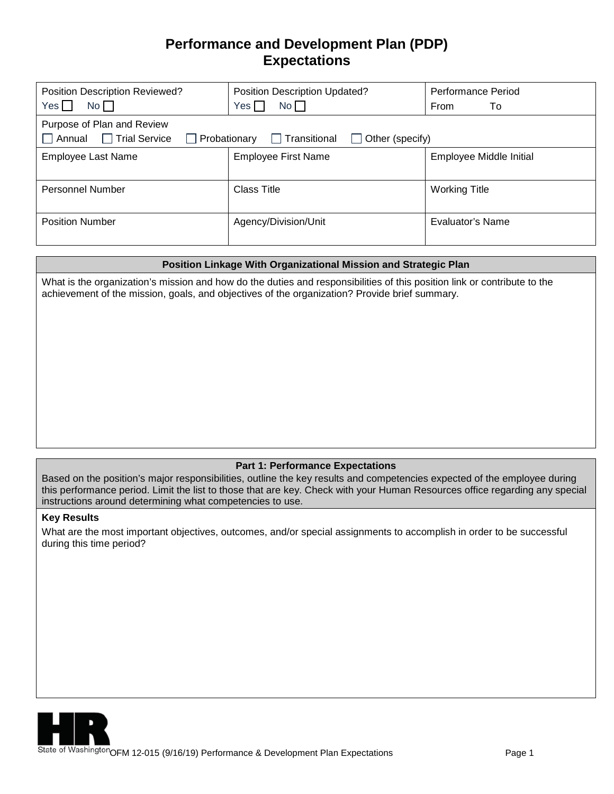# **Performance and Development Plan (PDP) Expectations**

| Position Description Reviewed?<br>No<br>Yes II                                                                      | Position Description Updated?<br>No<br>$Yes \Box$ | <b>Performance Period</b><br><b>From</b><br>To |  |  |
|---------------------------------------------------------------------------------------------------------------------|---------------------------------------------------|------------------------------------------------|--|--|
| Purpose of Plan and Review<br>□ Trial Service<br>Annual<br>  Transitional<br>Other (specify)<br>$\Box$ Probationary |                                                   |                                                |  |  |
| <b>Employee Last Name</b>                                                                                           | <b>Employee First Name</b>                        | Employee Middle Initial                        |  |  |
| <b>Personnel Number</b>                                                                                             | <b>Class Title</b>                                | <b>Working Title</b>                           |  |  |
| <b>Position Number</b>                                                                                              | Agency/Division/Unit                              | Evaluator's Name                               |  |  |

### **Position Linkage With Organizational Mission and Strategic Plan**

What is the organization's mission and how do the duties and responsibilities of this position link or contribute to the achievement of the mission, goals, and objectives of the organization? Provide brief summary.

## **Part 1: Performance Expectations**

Based on the position's major responsibilities, outline the key results and competencies expected of the employee during this performance period. Limit the list to those that are key. Check with your Human Resources office regarding any special instructions around determining what competencies to use.

#### **Key Results**

What are the most important objectives, outcomes, and/or special assignments to accomplish in order to be successful during this time period?